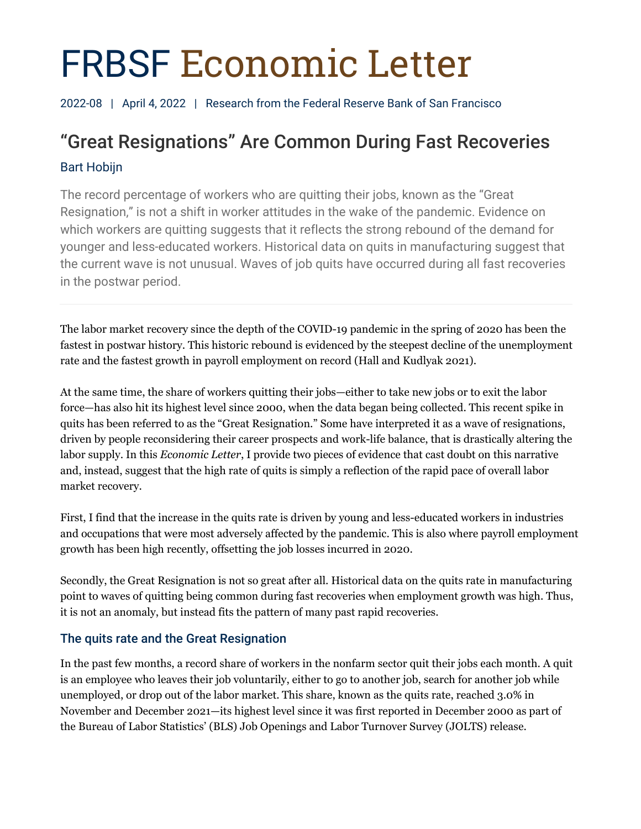# FRBSF Economic Letter

2022-08 | April 4, 2022 | Research from the Federal Reserve Bank of San Francisco

# "Great Resignations" Are Common During Fast Recoveries Bart Hobijn

The record percentage of workers who are quitting their jobs, known as the "Great Resignation," is not a shift in worker attitudes in the wake of the pandemic. Evidence on which workers are quitting suggests that it reflects the strong rebound of the demand for younger and less-educated workers. Historical data on quits in manufacturing suggest that the current wave is not unusual. Waves of job quits have occurred during all fast recoveries in the postwar period.

The labor market recovery since the depth of the COVID-19 pandemic in the spring of 2020 has been the fastest in postwar history. This historic rebound is evidenced by the steepest decline of the unemployment rate and the fastest growth in payroll employment on record (Hall and Kudlyak 2021).

At the same time, the share of workers quitting their jobs—either to take new jobs or to exit the labor force—has also hit its highest level since 2000, when the data began being collected. This recent spike in quits has been referred to as the "Great Resignation." Some have interpreted it as a wave of resignations, driven by people reconsidering their career prospects and work-life balance, that is drastically altering the labor supply. In this *Economic Letter*, I provide two pieces of evidence that cast doubt on this narrative and, instead, suggest that the high rate of quits is simply a reflection of the rapid pace of overall labor market recovery.

First, I find that the increase in the quits rate is driven by young and less-educated workers in industries and occupations that were most adversely affected by the pandemic. This is also where payroll employment growth has been high recently, offsetting the job losses incurred in 2020.

Secondly, the Great Resignation is not so great after all. Historical data on the quits rate in manufacturing point to waves of quitting being common during fast recoveries when employment growth was high. Thus, it is not an anomaly, but instead fits the pattern of many past rapid recoveries.

# The quits rate and the Great Resignation

In the past few months, a record share of workers in the nonfarm sector quit their jobs each month. A quit is an employee who leaves their job voluntarily, either to go to another job, search for another job while unemployed, or drop out of the labor market. This share, known as the quits rate, reached 3.0% in November and December 2021—its highest level since it was first reported in December 2000 as part of the Bureau of Labor Statistics' (BLS) Job Openings and Labor Turnover Survey (JOLTS) release.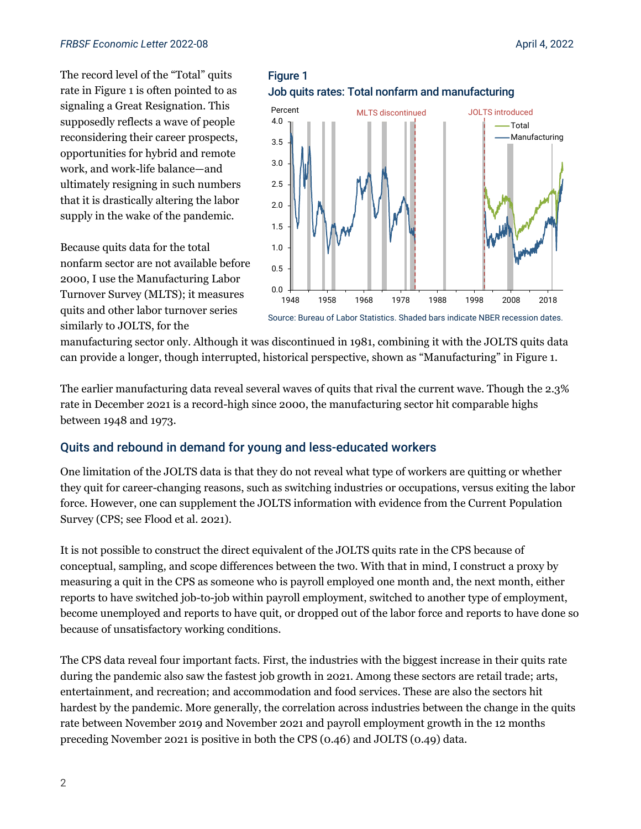#### *FRBSF Economic Letter* 2022-08 April 4, 2022

The record level of the "Total" quits rate in Figure 1 is often pointed to as signaling a Great Resignation. This supposedly reflects a wave of people reconsidering their career prospects, opportunities for hybrid and remote work, and work-life balance—and ultimately resigning in such numbers that it is drastically altering the labor supply in the wake of the pandemic.

Because quits data for the total nonfarm sector are not available before 2000, I use the Manufacturing Labor Turnover Survey (MLTS); it measures quits and other labor turnover series similarly to JOLTS, for the





#### Source: Bureau of Labor Statistics. Shaded bars indicate NBER recession dates.

manufacturing sector only. Although it was discontinued in 1981, combining it with the JOLTS quits data can provide a longer, though interrupted, historical perspective, shown as "Manufacturing" in Figure 1.

The earlier manufacturing data reveal several waves of quits that rival the current wave. Though the 2.3% rate in December 2021 is a record-high since 2000, the manufacturing sector hit comparable highs between 1948 and 1973.

#### Quits and rebound in demand for young and less-educated workers

One limitation of the JOLTS data is that they do not reveal what type of workers are quitting or whether they quit for career-changing reasons, such as switching industries or occupations, versus exiting the labor force. However, one can supplement the JOLTS information with evidence from the Current Population Survey (CPS; see Flood et al. 2021).

It is not possible to construct the direct equivalent of the JOLTS quits rate in the CPS because of conceptual, sampling, and scope differences between the two. With that in mind, I construct a proxy by measuring a quit in the CPS as someone who is payroll employed one month and, the next month, either reports to have switched job-to-job within payroll employment, switched to another type of employment, become unemployed and reports to have quit, or dropped out of the labor force and reports to have done so because of unsatisfactory working conditions.

The CPS data reveal four important facts. First, the industries with the biggest increase in their quits rate during the pandemic also saw the fastest job growth in 2021. Among these sectors are retail trade; arts, entertainment, and recreation; and accommodation and food services. These are also the sectors hit hardest by the pandemic. More generally, the correlation across industries between the change in the quits rate between November 2019 and November 2021 and payroll employment growth in the 12 months preceding November 2021 is positive in both the CPS (0.46) and JOLTS (0.49) data.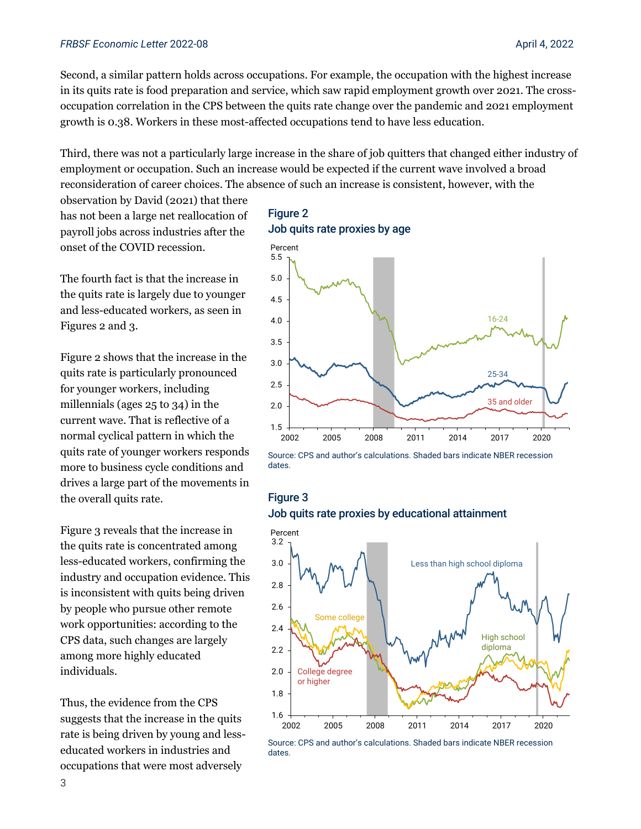#### *FRBSF Economic Letter* 2022-08 April 4, 2022

Second, a similar pattern holds across occupations. For example, the occupation with the highest increase in its quits rate is food preparation and service, which saw rapid employment growth over 2021. The crossoccupation correlation in the CPS between the quits rate change over the pandemic and 2021 employment growth is 0.38. Workers in these most-affected occupations tend to have less education.

Third, there was not a particularly large increase in the share of job quitters that changed either industry of employment or occupation. Such an increase would be expected if the current wave involved a broad reconsideration of career choices. The absence of such an increase is consistent, however, with the

observation by David (2021) that there has not been a large net reallocation of payroll jobs across industries after the onset of the COVID recession.

The fourth fact is that the increase in the quits rate is largely due to younger and less-educated workers, as seen in Figures 2 and 3.

Figure 2 shows that the increase in the quits rate is particularly pronounced for younger workers, including millennials (ages 25 to 34) in the current wave. That is reflective of a normal cyclical pattern in which the quits rate of younger workers responds more to business cycle conditions and drives a large part of the movements in the overall quits rate.

Figure 3 reveals that the increase in the quits rate is concentrated among less-educated workers, confirming the industry and occupation evidence. This is inconsistent with quits being driven by people who pursue other remote work opportunities: according to the CPS data, such changes are largely among more highly educated individuals.

Thus, the evidence from the CPS suggests that the increase in the quits rate is being driven by young and lesseducated workers in industries and occupations that were most adversely

#### Figure 2 Job quits rate proxies by age



Source: CPS and author's calculations. Shaded bars indicate NBER recession dates.

#### Figure 3 Job quits rate proxies by educational attainment



Source: CPS and author's calculations. Shaded bars indicate NBER recession dates.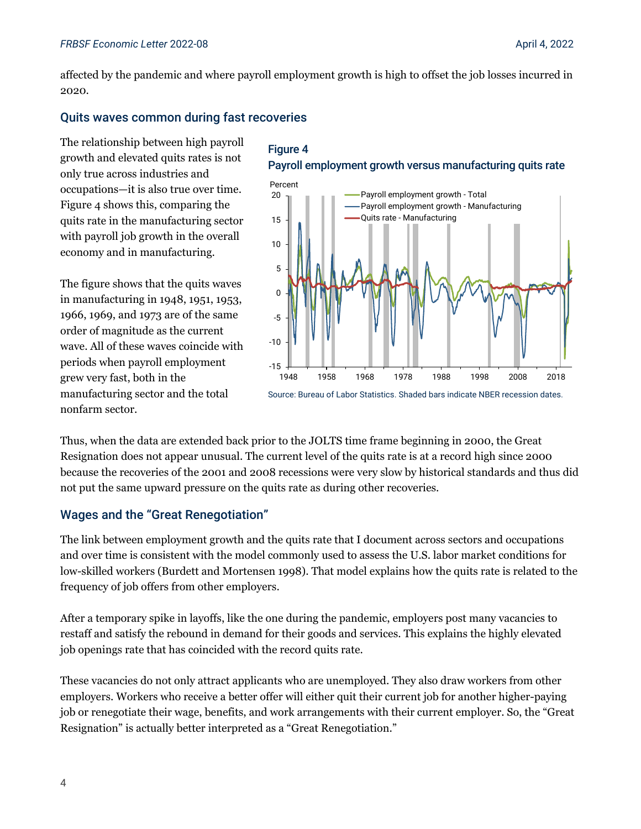affected by the pandemic and where payroll employment growth is high to offset the job losses incurred in 2020.

#### Quits waves common during fast recoveries

The relationship between high payroll growth and elevated quits rates is not only true across industries and occupations—it is also true over time. Figure 4 shows this, comparing the quits rate in the manufacturing sector with payroll job growth in the overall economy and in manufacturing.

The figure shows that the quits waves in manufacturing in 1948, 1951, 1953, 1966, 1969, and 1973 are of the same order of magnitude as the current wave. All of these waves coincide with periods when payroll employment grew very fast, both in the manufacturing sector and the total nonfarm sector.

## Figure 4 Payroll employment growth versus manufacturing quits rate



Thus, when the data are extended back prior to the JOLTS time frame beginning in 2000, the Great Resignation does not appear unusual. The current level of the quits rate is at a record high since 2000 because the recoveries of the 2001 and 2008 recessions were very slow by historical standards and thus did not put the same upward pressure on the quits rate as during other recoveries.

### Wages and the "Great Renegotiation"

The link between employment growth and the quits rate that I document across sectors and occupations and over time is consistent with the model commonly used to assess the U.S. labor market conditions for low-skilled workers (Burdett and Mortensen 1998). That model explains how the quits rate is related to the frequency of job offers from other employers.

After a temporary spike in layoffs, like the one during the pandemic, employers post many vacancies to restaff and satisfy the rebound in demand for their goods and services. This explains the highly elevated job openings rate that has coincided with the record quits rate.

These vacancies do not only attract applicants who are unemployed. They also draw workers from other employers. Workers who receive a better offer will either quit their current job for another higher-paying job or renegotiate their wage, benefits, and work arrangements with their current employer. So, the "Great Resignation" is actually better interpreted as a "Great Renegotiation."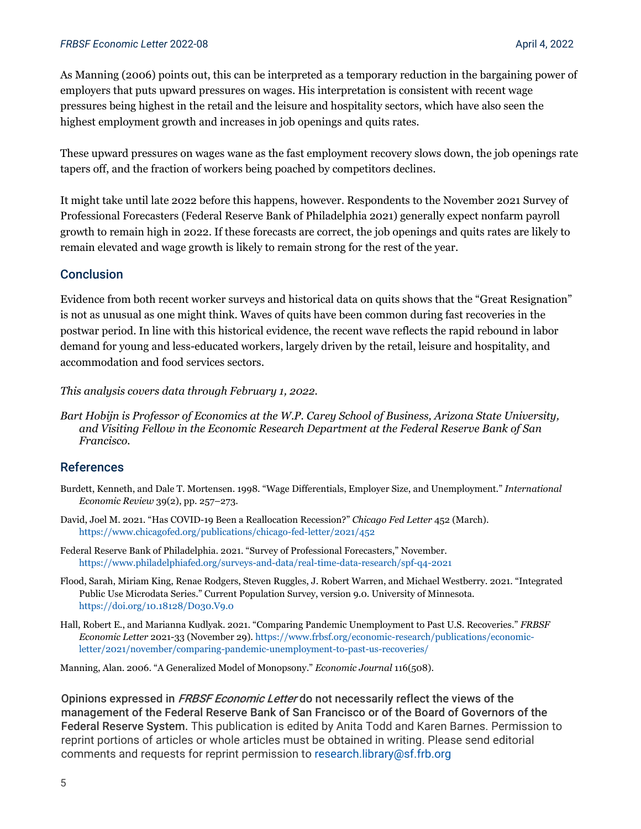As Manning (2006) points out, this can be interpreted as a temporary reduction in the bargaining power of employers that puts upward pressures on wages. His interpretation is consistent with recent wage pressures being highest in the retail and the leisure and hospitality sectors, which have also seen the highest employment growth and increases in job openings and quits rates.

These upward pressures on wages wane as the fast employment recovery slows down, the job openings rate tapers off, and the fraction of workers being poached by competitors declines.

It might take until late 2022 before this happens, however. Respondents to the November 2021 Survey of Professional Forecasters (Federal Reserve Bank of Philadelphia 2021) generally expect nonfarm payroll growth to remain high in 2022. If these forecasts are correct, the job openings and quits rates are likely to remain elevated and wage growth is likely to remain strong for the rest of the year.

#### **Conclusion**

Evidence from both recent worker surveys and historical data on quits shows that the "Great Resignation" is not as unusual as one might think. Waves of quits have been common during fast recoveries in the postwar period. In line with this historical evidence, the recent wave reflects the rapid rebound in labor demand for young and less-educated workers, largely driven by the retail, leisure and hospitality, and accommodation and food services sectors.

*This analysis covers data through February 1, 2022.*

*Bart Hobijn is Professor of Economics at the W.P. Carey School of Business, Arizona State University, and Visiting Fellow in the Economic Research Department at the Federal Reserve Bank of San Francisco.*

#### References

- Burdett, Kenneth, and Dale T. Mortensen. 1998. "Wage Differentials, Employer Size, and Unemployment." *International Economic Review* 39(2), pp. 257–273.
- David, Joel M. 2021. "Has COVID-19 Been a Reallocation Recession?" *Chicago Fed Letter* 452 (March). <https://www.chicagofed.org/publications/chicago-fed-letter/2021/452>
- Federal Reserve Bank of Philadelphia. 2021. "Survey of Professional Forecasters," November. <https://www.philadelphiafed.org/surveys-and-data/real-time-data-research/spf-q4-2021>
- Flood, Sarah, Miriam King, Renae Rodgers, Steven Ruggles, J. Robert Warren, and Michael Westberry. 2021. "Integrated Public Use Microdata Series." Current Population Survey, version 9.0. University of Minnesota. <https://doi.org/10.18128/D030.V9.0>
- Hall, Robert E., and Marianna Kudlyak. 2021. "Comparing Pandemic Unemployment to Past U.S. Recoveries." *FRBSF Economic Letter* 2021-33 (November 29). [https://www.frbsf.org/economic-research/publications/economic](https://www.frbsf.org/economic-research/publications/economic-letter/2021/november/comparing-pandemic-unemployment-to-past-us-recoveries/)[letter/2021/november/comparing-pandemic-unemployment-to-past-us-recoveries/](https://www.frbsf.org/economic-research/publications/economic-letter/2021/november/comparing-pandemic-unemployment-to-past-us-recoveries/)

Manning, Alan. 2006. "A Generalized Model of Monopsony." *Economic Journal* 116(508).

Opinions expressed in *FRBSF Economic Letter* do not necessarily reflect the views of the management of the Federal Reserve Bank of San Francisco or of the Board of Governors of the Federal Reserve System. This publication is edited by Anita Todd and Karen Barnes. Permission to reprint portions of articles or whole articles must be obtained in writing. Please send editorial comments and requests for reprint permission to [research.library@sf.frb.org](mailto:research.library@sf.frb.org)